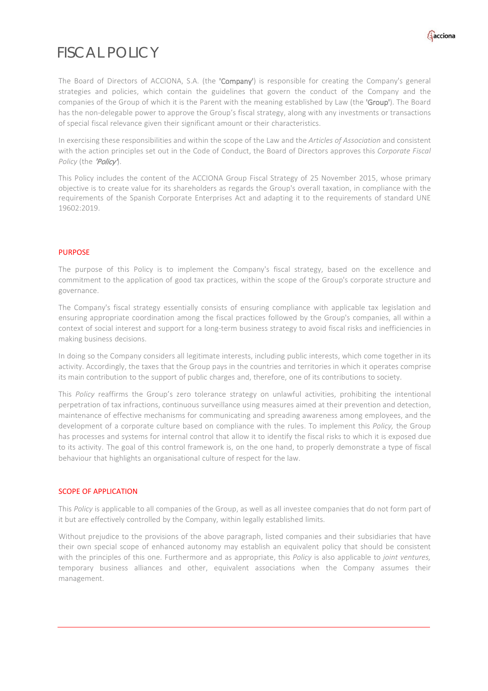

## FISCAL POLICY

The Board of Directors of ACCIONA, S.A. (the 'Company') is responsible for creating the Company's general strategies and policies, which contain the guidelines that govern the conduct of the Company and the companies of the Group of which it is the Parent with the meaning established by Law (the 'Group'). The Board has the non-delegable power to approve the Group's fiscal strategy, along with any investments or transactions of special fiscal relevance given their significant amount or their characteristics.

In exercising these responsibilities and within the scope of the Law and the *Articles of Association* and consistent with the action principles set out in the Code of Conduct, the Board of Directors approves this *Corporate Fiscal* Policy (the 'Policy').

This Policy includes the content of the ACCIONA Group Fiscal Strategy of 25 November 2015, whose primary objective is to create value for its shareholders as regards the Group's overall taxation, in compliance with the requirements of the Spanish Corporate Enterprises Act and adapting it to the requirements of standard UNE 19602:2019.

#### PURPOSE

The purpose of this Policy is to implement the Company's fiscal strategy, based on the excellence and commitment to the application of good tax practices, within the scope of the Group's corporate structure and governance.

The Company's fiscal strategy essentially consists of ensuring compliance with applicable tax legislation and ensuring appropriate coordination among the fiscal practices followed by the Group's companies, all within a context of social interest and support for a long-term business strategy to avoid fiscal risks and inefficiencies in making business decisions.

In doing so the Company considers all legitimate interests, including public interests, which come together in its activity. Accordingly, the taxes that the Group pays in the countries and territories in which it operates comprise its main contribution to the support of public charges and, therefore, one of its contributions to society.

This *Policy* reaffirms the Group's zero tolerance strategy on unlawful activities, prohibiting the intentional perpetration of tax infractions, continuous surveillance using measures aimed at their prevention and detection, maintenance of effective mechanisms for communicating and spreading awareness among employees, and the development of a corporate culture based on compliance with the rules. To implement this *Policy,* the Group has processes and systems for internal control that allow it to identify the fiscal risks to which it is exposed due to its activity. The goal of this control framework is, on the one hand, to properly demonstrate a type of fiscal behaviour that highlights an organisational culture of respect for the law.

#### SCOPE OF APPLICATION

This *Policy* is applicable to all companies of the Group, as well as all investee companies that do not form part of it but are effectively controlled by the Company, within legally established limits.

Without prejudice to the provisions of the above paragraph, listed companies and their subsidiaries that have their own special scope of enhanced autonomy may establish an equivalent policy that should be consistent with the principles of this one. Furthermore and as appropriate, this *Policy* is also applicable to *joint ventures,* temporary business alliances and other, equivalent associations when the Company assumes their management.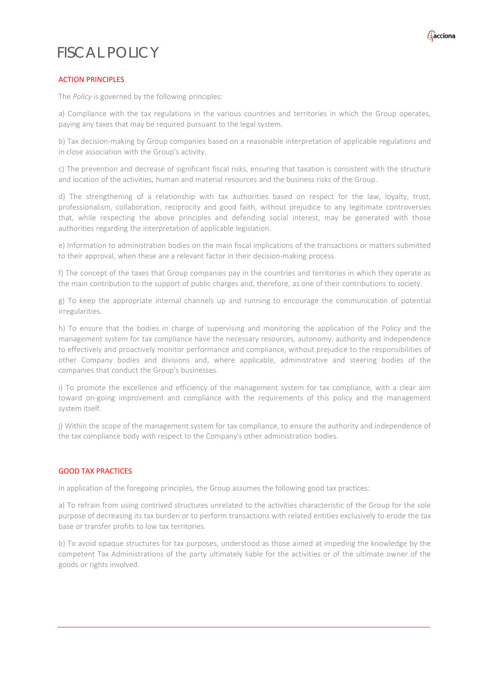# FISCAL POLICY



### ACTION PRINCIPLES

The *Policy* is governed by the following principles:

a) Compliance with the tax regulations in the various countries and territories in which the Group operates, paying any taxes that may be required pursuant to the legal system.

b) Tax decision-making by Group companies based on a reasonable interpretation of applicable regulations and in close association with the Group's activity.

c) The prevention and decrease of significant fiscal risks, ensuring that taxation is consistent with the structure and location of the activities, human and material resources and the business risks of the Group.

d) The strengthening of a relationship with tax authorities based on respect for the law, loyalty, trust, professionalism, collaboration, reciprocity and good faith, without prejudice to any legitimate controversies that, while respecting the above principles and defending social interest, may be generated with those authorities regarding the interpretation of applicable legislation.

e) Information to administration bodies on the main fiscal implications of the transactions or matters submitted to their approval, when these are a relevant factor in their decision-making process.

f) The concept of the taxes that Group companies pay in the countries and territories in which they operate as the main contribution to the support of public charges and, therefore, as one of their contributions to society.

g) To keep the appropriate internal channels up and running to encourage the communication of potential irregularities.

h) To ensure that the bodies in charge of supervising and monitoring the application of the Policy and the management system for tax compliance have the necessary resources, autonomy, authority and independence to effectively and proactively monitor performance and compliance, without prejudice to the responsibilities of other Company bodies and divisions and, where applicable, administrative and steering bodies of the companies that conduct the Group's businesses.

i) To promote the excellence and efficiency of the management system for tax compliance, with a clear aim toward on-going improvement and compliance with the requirements of this policy and the management system itself.

j) Within the scope of the management system for tax compliance, to ensure the authority and independence of the tax compliance body with respect to the Company's other administration bodies.

#### GOOD TAX PRACTICES

In application of the foregoing principles, the Group assumes the following good tax practices:

a) To refrain from using contrived structures unrelated to the activities characteristic of the Group for the sole purpose of decreasing its tax burden or to perform transactions with related entities exclusively to erode the tax base or transfer profits to low tax territories.

b) To avoid opaque structures for tax purposes, understood as those aimed at impeding the knowledge by the competent Tax Administrations of the party ultimately liable for the activities or of the ultimate owner of the goods or rights involved.